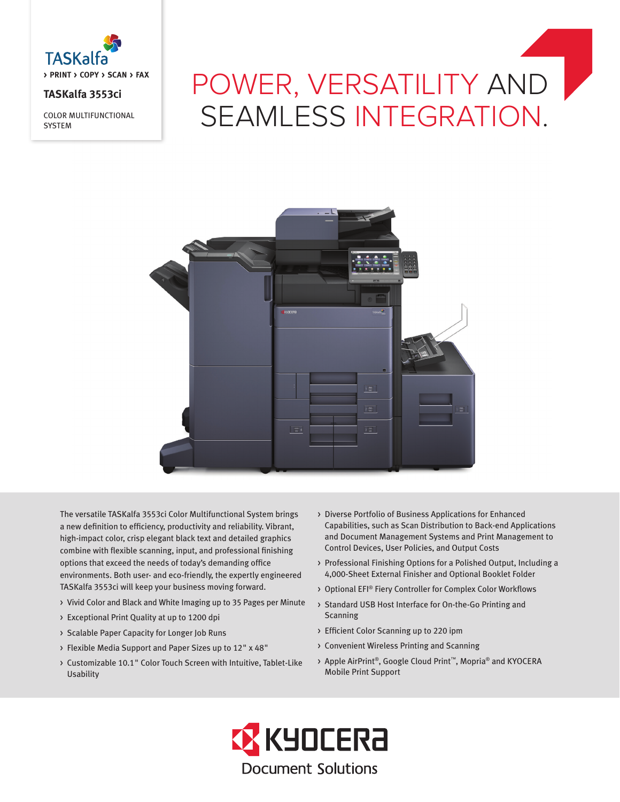

# **TASKalfa 3553ci**

COLOR MULTIFUNCTIONAL **SYSTEM** 

# POWER, VERSATILITY AND SEAMLESS INTEGRATION.



The versatile TASKalfa 3553ci Color Multifunctional System brings a new definition to efficiency, productivity and reliability. Vibrant, high-impact color, crisp elegant black text and detailed graphics combine with flexible scanning, input, and professional finishing options that exceed the needs of today's demanding office environments. Both user- and eco-friendly, the expertly engineered TASKalfa 3553ci will keep your business moving forward.

- > Vivid Color and Black and White Imaging up to 35 Pages per Minute
- > Exceptional Print Quality at up to 1200 dpi
- > Scalable Paper Capacity for Longer Job Runs
- > Flexible Media Support and Paper Sizes up to 12" x 48"
- > Customizable 10.1" Color Touch Screen with Intuitive, Tablet-Like Usability
- > Diverse Portfolio of Business Applications for Enhanced Capabilities, such as Scan Distribution to Back-end Applications and Document Management Systems and Print Management to Control Devices, User Policies, and Output Costs
- > Professional Finishing Options for a Polished Output, Including a 4,000-Sheet External Finisher and Optional Booklet Folder
- > Optional EFI® Fiery Controller for Complex Color Workflows
- > Standard USB Host Interface for On-the-Go Printing and Scanning
- > Efficient Color Scanning up to 220 ipm
- > Convenient Wireless Printing and Scanning
- > Apple AirPrint®, Google Cloud Print™, Mopria® and KYOCERA Mobile Print Support